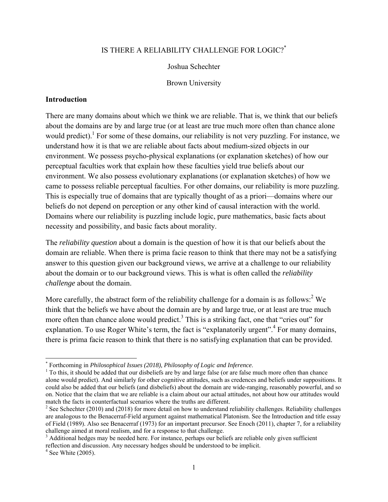# IS THERE A RELIABILITY CHALLENGE FOR LOGIC?\*

### Joshua Schechter

Brown University

#### **Introduction**

There are many domains about which we think we are reliable. That is, we think that our beliefs about the domains are by and large true (or at least are true much more often than chance alone would predict).  $^1$  For some of these domains, our reliability is not very puzzling. For instance, we understand how it is that we are reliable about facts about medium-sized objects in our environment. We possess psycho-physical explanations (or explanation sketches) of how our perceptual faculties work that explain how these faculties yield true beliefs about our environment. We also possess evolutionary explanations (or explanation sketches) of how we came to possess reliable perceptual faculties. For other domains, our reliability is more puzzling. This is especially true of domains that are typically thought of as a priori—domains where our beliefs do not depend on perception or any other kind of causal interaction with the world. Domains where our reliability is puzzling include logic, pure mathematics, basic facts about necessity and possibility, and basic facts about morality.

The *reliability question* about a domain is the question of how it is that our beliefs about the domain are reliable. When there is prima facie reason to think that there may not be a satisfying answer to this question given our background views, we arrive at a challenge to our reliability about the domain or to our background views. This is what is often called the *reliability challenge* about the domain.

More carefully, the abstract form of the reliability challenge for a domain is as follows:<sup>2</sup> We think that the beliefs we have about the domain are by and large true, or at least are true much more often than chance alone would predict.<sup>3</sup> This is a striking fact, one that "cries out" for explanation. To use Roger White's term, the fact is "explanatorily urgent".<sup>4</sup> For many domains, there is prima facie reason to think that there is no satisfying explanation that can be provided.

<sup>\*&</sup>lt;br>
Forthcoming in *Philosophical Issues (2018), Philosophy of Logic and Inference*.<br>
<sup>1</sup> To this it should be added that our dishelists are by and large false (or are false to

<sup>&</sup>lt;sup>1</sup> To this, it should be added that our disbeliefs are by and large false (or are false much more often than chance alone would predict). And similarly for other cognitive attitudes, such as credences and beliefs under suppositions. It could also be added that our beliefs (and disbeliefs) about the domain are wide-ranging, reasonably powerful, and so on. Notice that the claim that we are reliable is a claim about our actual attitudes, not about how our attitudes would match the facts in counterfactual scenarios where the truths are different. 2

<sup>&</sup>lt;sup>2</sup> See Schechter (2010) and (2018) for more detail on how to understand reliability challenges. Reliability challenges are analogous to the Benacerraf-Field argument against mathematical Platonism. See the Introduction and title essay of Field (1989). Also see Benacerraf (1973) for an important precursor. See Enoch (2011), chapter 7, for a reliability challenge aimed at moral realism, and for a response to that challenge.

<sup>&</sup>lt;sup>3</sup> Additional hedges may be needed here. For instance, perhaps our beliefs are reliable only given sufficient reflection and discussion. Any necessary hedges should be understood to be implicit. 4

 $4$  See White (2005).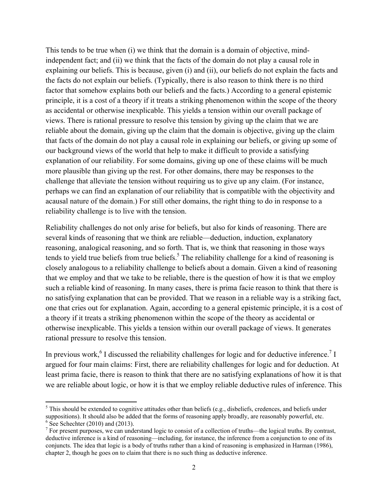This tends to be true when (i) we think that the domain is a domain of objective, mindindependent fact; and (ii) we think that the facts of the domain do not play a causal role in explaining our beliefs. This is because, given (i) and (ii), our beliefs do not explain the facts and the facts do not explain our beliefs. (Typically, there is also reason to think there is no third factor that somehow explains both our beliefs and the facts.) According to a general epistemic principle, it is a cost of a theory if it treats a striking phenomenon within the scope of the theory as accidental or otherwise inexplicable. This yields a tension within our overall package of views. There is rational pressure to resolve this tension by giving up the claim that we are reliable about the domain, giving up the claim that the domain is objective, giving up the claim that facts of the domain do not play a causal role in explaining our beliefs, or giving up some of our background views of the world that help to make it difficult to provide a satisfying explanation of our reliability. For some domains, giving up one of these claims will be much more plausible than giving up the rest. For other domains, there may be responses to the challenge that alleviate the tension without requiring us to give up any claim. (For instance, perhaps we can find an explanation of our reliability that is compatible with the objectivity and acausal nature of the domain.) For still other domains, the right thing to do in response to a reliability challenge is to live with the tension.

Reliability challenges do not only arise for beliefs, but also for kinds of reasoning. There are several kinds of reasoning that we think are reliable—deduction, induction, explanatory reasoning, analogical reasoning, and so forth. That is, we think that reasoning in those ways tends to yield true beliefs from true beliefs.<sup>5</sup> The reliability challenge for a kind of reasoning is closely analogous to a reliability challenge to beliefs about a domain. Given a kind of reasoning that we employ and that we take to be reliable, there is the question of how it is that we employ such a reliable kind of reasoning. In many cases, there is prima facie reason to think that there is no satisfying explanation that can be provided. That we reason in a reliable way is a striking fact, one that cries out for explanation. Again, according to a general epistemic principle, it is a cost of a theory if it treats a striking phenomenon within the scope of the theory as accidental or otherwise inexplicable. This yields a tension within our overall package of views. It generates rational pressure to resolve this tension.

In previous work,  $6$  I discussed the reliability challenges for logic and for deductive inference.<sup>7</sup> I argued for four main claims: First, there are reliability challenges for logic and for deduction. At least prima facie, there is reason to think that there are no satisfying explanations of how it is that we are reliable about logic, or how it is that we employ reliable deductive rules of inference. This

 <sup>5</sup> This should be extended to cognitive attitudes other than beliefs (e.g., disbeliefs, credences, and beliefs under suppositions). It should also be added that the forms of reasoning apply broadly, are reasonably powerful, etc.

 $6$  See Schechter (2010) and (2013).

 $^7$  For present purposes, we can understand logic to consist of a collection of truths—the logical truths. By contrast, deductive inference is a kind of reasoning—including, for instance, the inference from a conjunction to one of its conjuncts. The idea that logic is a body of truths rather than a kind of reasoning is emphasized in Harman (1986), chapter 2, though he goes on to claim that there is no such thing as deductive inference.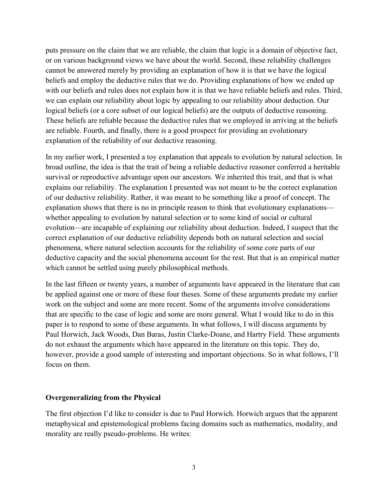puts pressure on the claim that we are reliable, the claim that logic is a domain of objective fact, or on various background views we have about the world. Second, these reliability challenges cannot be answered merely by providing an explanation of how it is that we have the logical beliefs and employ the deductive rules that we do. Providing explanations of how we ended up with our beliefs and rules does not explain how it is that we have reliable beliefs and rules. Third, we can explain our reliability about logic by appealing to our reliability about deduction. Our logical beliefs (or a core subset of our logical beliefs) are the outputs of deductive reasoning. These beliefs are reliable because the deductive rules that we employed in arriving at the beliefs are reliable. Fourth, and finally, there is a good prospect for providing an evolutionary explanation of the reliability of our deductive reasoning.

In my earlier work, I presented a toy explanation that appeals to evolution by natural selection. In broad outline, the idea is that the trait of being a reliable deductive reasoner conferred a heritable survival or reproductive advantage upon our ancestors. We inherited this trait, and that is what explains our reliability. The explanation I presented was not meant to be the correct explanation of our deductive reliability. Rather, it was meant to be something like a proof of concept. The explanation shows that there is no in principle reason to think that evolutionary explanations whether appealing to evolution by natural selection or to some kind of social or cultural evolution—are incapable of explaining our reliability about deduction. Indeed, I suspect that the correct explanation of our deductive reliability depends both on natural selection and social phenomena, where natural selection accounts for the reliability of some core parts of our deductive capacity and the social phenomena account for the rest. But that is an empirical matter which cannot be settled using purely philosophical methods.

In the last fifteen or twenty years, a number of arguments have appeared in the literature that can be applied against one or more of these four theses. Some of these arguments predate my earlier work on the subject and some are more recent. Some of the arguments involve considerations that are specific to the case of logic and some are more general. What I would like to do in this paper is to respond to some of these arguments. In what follows, I will discuss arguments by Paul Horwich, Jack Woods, Dan Baras, Justin Clarke-Doane, and Hartry Field. These arguments do not exhaust the arguments which have appeared in the literature on this topic. They do, however, provide a good sample of interesting and important objections. So in what follows, I'll focus on them.

# **Overgeneralizing from the Physical**

The first objection I'd like to consider is due to Paul Horwich. Horwich argues that the apparent metaphysical and epistemological problems facing domains such as mathematics, modality, and morality are really pseudo-problems. He writes: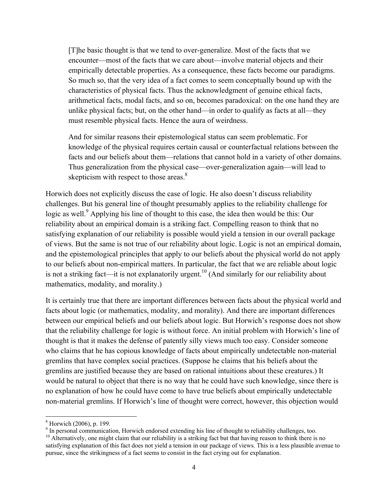[T]he basic thought is that we tend to over-generalize. Most of the facts that we encounter—most of the facts that we care about—involve material objects and their empirically detectable properties. As a consequence, these facts become our paradigms. So much so, that the very idea of a fact comes to seem conceptually bound up with the characteristics of physical facts. Thus the acknowledgment of genuine ethical facts, arithmetical facts, modal facts, and so on, becomes paradoxical: on the one hand they are unlike physical facts; but, on the other hand—in order to qualify as facts at all—they must resemble physical facts. Hence the aura of weirdness.

And for similar reasons their epistemological status can seem problematic. For knowledge of the physical requires certain causal or counterfactual relations between the facts and our beliefs about them—relations that cannot hold in a variety of other domains. Thus generalization from the physical case—over-generalization again—will lead to skepticism with respect to those areas.<sup>8</sup>

Horwich does not explicitly discuss the case of logic. He also doesn't discuss reliability challenges. But his general line of thought presumably applies to the reliability challenge for logic as well.<sup>9</sup> Applying his line of thought to this case, the idea then would be this: Our reliability about an empirical domain is a striking fact. Compelling reason to think that no satisfying explanation of our reliability is possible would yield a tension in our overall package of views. But the same is not true of our reliability about logic. Logic is not an empirical domain, and the epistemological principles that apply to our beliefs about the physical world do not apply to our beliefs about non-empirical matters. In particular, the fact that we are reliable about logic is not a striking fact—it is not explanatorily urgent.<sup>10</sup> (And similarly for our reliability about mathematics, modality, and morality.)

It is certainly true that there are important differences between facts about the physical world and facts about logic (or mathematics, modality, and morality). And there are important differences between our empirical beliefs and our beliefs about logic. But Horwich's response does not show that the reliability challenge for logic is without force. An initial problem with Horwich's line of thought is that it makes the defense of patently silly views much too easy. Consider someone who claims that he has copious knowledge of facts about empirically undetectable non-material gremlins that have complex social practices. (Suppose he claims that his beliefs about the gremlins are justified because they are based on rational intuitions about these creatures.) It would be natural to object that there is no way that he could have such knowledge, since there is no explanation of how he could have come to have true beliefs about empirically undetectable non-material gremlins. If Horwich's line of thought were correct, however, this objection would

<sup>8</sup> Horwich (2006), p. 199.

 $9$  In personal communication, Horwich endorsed extending his line of thought to reliability challenges, too.

<sup>&</sup>lt;sup>10</sup> Alternatively, one might claim that our reliability is a striking fact but that having reason to think there is no satisfying explanation of this fact does not yield a tension in our package of views. This is a less plausible avenue to pursue, since the strikingness of a fact seems to consist in the fact crying out for explanation.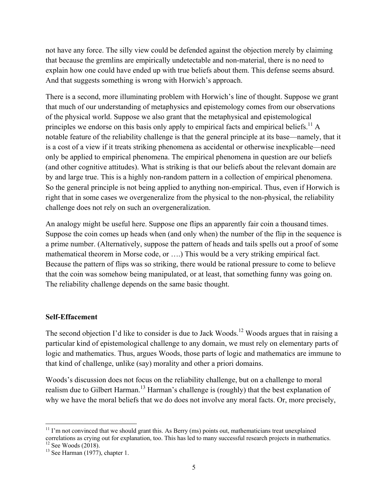not have any force. The silly view could be defended against the objection merely by claiming that because the gremlins are empirically undetectable and non-material, there is no need to explain how one could have ended up with true beliefs about them. This defense seems absurd. And that suggests something is wrong with Horwich's approach.

There is a second, more illuminating problem with Horwich's line of thought. Suppose we grant that much of our understanding of metaphysics and epistemology comes from our observations of the physical world. Suppose we also grant that the metaphysical and epistemological principles we endorse on this basis only apply to empirical facts and empirical beliefs.<sup>11</sup> A notable feature of the reliability challenge is that the general principle at its base—namely, that it is a cost of a view if it treats striking phenomena as accidental or otherwise inexplicable—need only be applied to empirical phenomena. The empirical phenomena in question are our beliefs (and other cognitive attitudes). What is striking is that our beliefs about the relevant domain are by and large true. This is a highly non-random pattern in a collection of empirical phenomena. So the general principle is not being applied to anything non-empirical. Thus, even if Horwich is right that in some cases we overgeneralize from the physical to the non-physical, the reliability challenge does not rely on such an overgeneralization.

An analogy might be useful here. Suppose one flips an apparently fair coin a thousand times. Suppose the coin comes up heads when (and only when) the number of the flip in the sequence is a prime number. (Alternatively, suppose the pattern of heads and tails spells out a proof of some mathematical theorem in Morse code, or ….) This would be a very striking empirical fact. Because the pattern of flips was so striking, there would be rational pressure to come to believe that the coin was somehow being manipulated, or at least, that something funny was going on. The reliability challenge depends on the same basic thought.

# **Self-Effacement**

The second objection I'd like to consider is due to Jack Woods.<sup>12</sup> Woods argues that in raising a particular kind of epistemological challenge to any domain, we must rely on elementary parts of logic and mathematics. Thus, argues Woods, those parts of logic and mathematics are immune to that kind of challenge, unlike (say) morality and other a priori domains.

Woods's discussion does not focus on the reliability challenge, but on a challenge to moral realism due to Gilbert Harman.<sup>13</sup> Harman's challenge is (roughly) that the best explanation of why we have the moral beliefs that we do does not involve any moral facts. Or, more precisely,

 $11$  I'm not convinced that we should grant this. As Berry (ms) points out, mathematicians treat unexplained correlations as crying out for explanation, too. This has led to many successful research projects in mathematics. <sup>12</sup> See Woods (2018).

 $13$  See Harman (1977), chapter 1.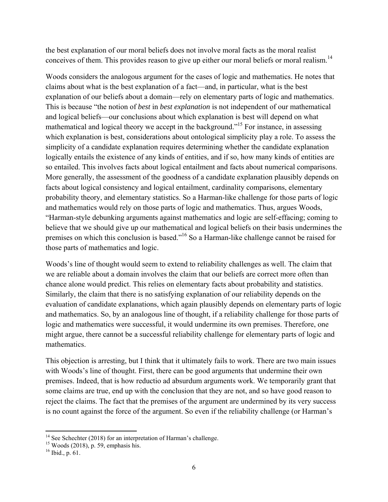the best explanation of our moral beliefs does not involve moral facts as the moral realist conceives of them. This provides reason to give up either our moral beliefs or moral realism.<sup>14</sup>

Woods considers the analogous argument for the cases of logic and mathematics. He notes that claims about what is the best explanation of a fact—and, in particular, what is the best explanation of our beliefs about a domain—rely on elementary parts of logic and mathematics. This is because "the notion of *best* in *best explanation* is not independent of our mathematical and logical beliefs—our conclusions about which explanation is best will depend on what mathematical and logical theory we accept in the background."<sup>15</sup> For instance, in assessing which explanation is best, considerations about ontological simplicity play a role. To assess the simplicity of a candidate explanation requires determining whether the candidate explanation logically entails the existence of any kinds of entities, and if so, how many kinds of entities are so entailed. This involves facts about logical entailment and facts about numerical comparisons. More generally, the assessment of the goodness of a candidate explanation plausibly depends on facts about logical consistency and logical entailment, cardinality comparisons, elementary probability theory, and elementary statistics. So a Harman-like challenge for those parts of logic and mathematics would rely on those parts of logic and mathematics. Thus, argues Woods, "Harman-style debunking arguments against mathematics and logic are self-effacing; coming to believe that we should give up our mathematical and logical beliefs on their basis undermines the premises on which this conclusion is based."16 So a Harman-like challenge cannot be raised for those parts of mathematics and logic.

Woods's line of thought would seem to extend to reliability challenges as well. The claim that we are reliable about a domain involves the claim that our beliefs are correct more often than chance alone would predict. This relies on elementary facts about probability and statistics. Similarly, the claim that there is no satisfying explanation of our reliability depends on the evaluation of candidate explanations, which again plausibly depends on elementary parts of logic and mathematics. So, by an analogous line of thought, if a reliability challenge for those parts of logic and mathematics were successful, it would undermine its own premises. Therefore, one might argue, there cannot be a successful reliability challenge for elementary parts of logic and mathematics.

This objection is arresting, but I think that it ultimately fails to work. There are two main issues with Woods's line of thought. First, there can be good arguments that undermine their own premises. Indeed, that is how reductio ad absurdum arguments work. We temporarily grant that some claims are true, end up with the conclusion that they are not, and so have good reason to reject the claims. The fact that the premises of the argument are undermined by its very success is no count against the force of the argument. So even if the reliability challenge (or Harman's

 $14$  See Schechter (2018) for an interpretation of Harman's challenge.

 $15$  Woods (2018), p. 59, emphasis his.

<sup>16</sup> Ibid., p. 61.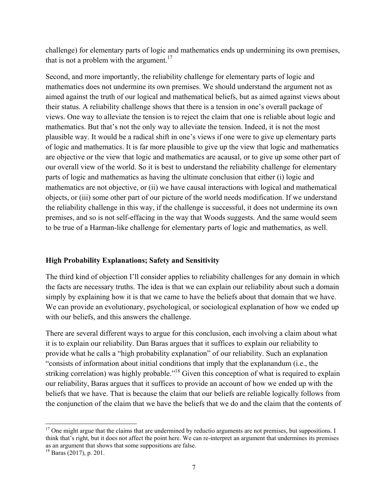challenge) for elementary parts of logic and mathematics ends up undermining its own premises, that is not a problem with the argument.<sup>17</sup>

Second, and more importantly, the reliability challenge for elementary parts of logic and mathematics does not undermine its own premises. We should understand the argument not as aimed against the truth of our logical and mathematical beliefs, but as aimed against views about their status. A reliability challenge shows that there is a tension in one's overall package of views. One way to alleviate the tension is to reject the claim that one is reliable about logic and mathematics. But that's not the only way to alleviate the tension. Indeed, it is not the most plausible way. It would be a radical shift in one's views if one were to give up elementary parts of logic and mathematics. It is far more plausible to give up the view that logic and mathematics are objective or the view that logic and mathematics are acausal, or to give up some other part of our overall view of the world. So it is best to understand the reliability challenge for elementary parts of logic and mathematics as having the ultimate conclusion that either (i) logic and mathematics are not objective, or (ii) we have causal interactions with logical and mathematical objects, or (iii) some other part of our picture of the world needs modification. If we understand the reliability challenge in this way, if the challenge is successful, it does not undermine its own premises, and so is not self-effacing in the way that Woods suggests. And the same would seem to be true of a Harman-like challenge for elementary parts of logic and mathematics, as well.

# **High Probability Explanations; Safety and Sensitivity**

The third kind of objection I'll consider applies to reliability challenges for any domain in which the facts are necessary truths. The idea is that we can explain our reliability about such a domain simply by explaining how it is that we came to have the beliefs about that domain that we have. We can provide an evolutionary, psychological, or sociological explanation of how we ended up with our beliefs, and this answers the challenge.

There are several different ways to argue for this conclusion, each involving a claim about what it is to explain our reliability. Dan Baras argues that it suffices to explain our reliability to provide what he calls a "high probability explanation" of our reliability. Such an explanation "consists of information about initial conditions that imply that the explanandum (i.e., the striking correlation) was highly probable."<sup>18</sup> Given this conception of what is required to explain our reliability, Baras argues that it suffices to provide an account of how we ended up with the beliefs that we have. That is because the claim that our beliefs are reliable logically follows from the conjunction of the claim that we have the beliefs that we do and the claim that the contents of

 $17$  One might argue that the claims that are undermined by reductio arguments are not premises, but suppositions. I think that's right, but it does not affect the point here. We can re-interpret an argument that undermines its premises as an argument that shows that some suppositions are false.

 $18$  Baras (2017), p. 201.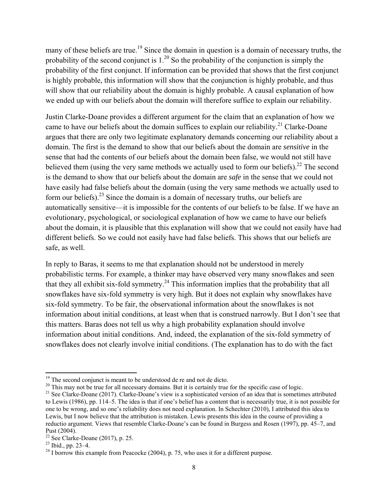many of these beliefs are true.<sup>19</sup> Since the domain in question is a domain of necessary truths, the probability of the second conjunct is  $1<sup>20</sup>$  So the probability of the conjunction is simply the probability of the first conjunct. If information can be provided that shows that the first conjunct is highly probable, this information will show that the conjunction is highly probable, and thus will show that our reliability about the domain is highly probable. A causal explanation of how we ended up with our beliefs about the domain will therefore suffice to explain our reliability.

Justin Clarke-Doane provides a different argument for the claim that an explanation of how we came to have our beliefs about the domain suffices to explain our reliability.<sup>21</sup> Clarke-Doane argues that there are only two legitimate explanatory demands concerning our reliability about a domain. The first is the demand to show that our beliefs about the domain are *sensitive* in the sense that had the contents of our beliefs about the domain been false, we would not still have believed them (using the very same methods we actually used to form our beliefs).<sup>22</sup> The second is the demand to show that our beliefs about the domain are *safe* in the sense that we could not have easily had false beliefs about the domain (using the very same methods we actually used to form our beliefs).<sup>23</sup> Since the domain is a domain of necessary truths, our beliefs are automatically sensitive—it is impossible for the contents of our beliefs to be false. If we have an evolutionary, psychological, or sociological explanation of how we came to have our beliefs about the domain, it is plausible that this explanation will show that we could not easily have had different beliefs. So we could not easily have had false beliefs. This shows that our beliefs are safe, as well.

In reply to Baras, it seems to me that explanation should not be understood in merely probabilistic terms. For example, a thinker may have observed very many snowflakes and seen that they all exhibit six-fold symmetry.<sup>24</sup> This information implies that the probability that all snowflakes have six-fold symmetry is very high. But it does not explain why snowflakes have six-fold symmetry. To be fair, the observational information about the snowflakes is not information about initial conditions, at least when that is construed narrowly. But I don't see that this matters. Baras does not tell us why a high probability explanation should involve information about initial conditions. And, indeed, the explanation of the six-fold symmetry of snowflakes does not clearly involve initial conditions. (The explanation has to do with the fact

<sup>&</sup>lt;sup>19</sup> The second conjunct is meant to be understood de re and not de dicto.<br><sup>20</sup> This may not be true for all necessary domains. But it is certainly true for the specific case of logic.

<sup>&</sup>lt;sup>21</sup> See Clarke-Doane (2017). Clarke-Doane's view is a sophisticated version of an idea that is sometimes attributed to Lewis (1986), pp. 114–5. The idea is that if one's belief has a content that is necessarily true, it is not possible for one to be wrong, and so one's reliability does not need explanation. In Schechter (2010), I attributed this idea to Lewis, but I now believe that the attribution is mistaken. Lewis presents this idea in the course of providing a reductio argument. Views that resemble Clarke-Doane's can be found in Burgess and Rosen (1997), pp. 45–7, and Pust (2004).

 $22$  See Clarke-Doane (2017), p. 25.

<sup>23</sup> Ibid., pp. 23–4.

 $^{24}$  I borrow this example from Peacocke (2004), p. 75, who uses it for a different purpose.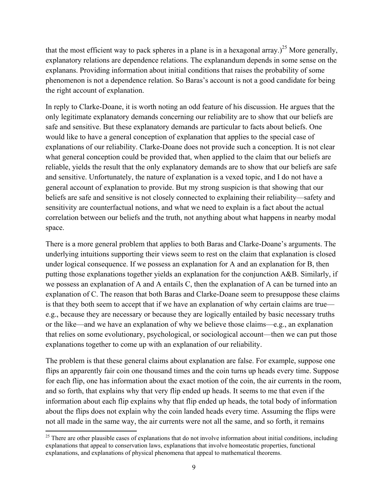that the most efficient way to pack spheres in a plane is in a hexagonal array.)<sup>25</sup> More generally, explanatory relations are dependence relations. The explanandum depends in some sense on the explanans. Providing information about initial conditions that raises the probability of some phenomenon is not a dependence relation. So Baras's account is not a good candidate for being the right account of explanation.

In reply to Clarke-Doane, it is worth noting an odd feature of his discussion. He argues that the only legitimate explanatory demands concerning our reliability are to show that our beliefs are safe and sensitive. But these explanatory demands are particular to facts about beliefs. One would like to have a general conception of explanation that applies to the special case of explanations of our reliability. Clarke-Doane does not provide such a conception. It is not clear what general conception could be provided that, when applied to the claim that our beliefs are reliable, yields the result that the only explanatory demands are to show that our beliefs are safe and sensitive. Unfortunately, the nature of explanation is a vexed topic, and I do not have a general account of explanation to provide. But my strong suspicion is that showing that our beliefs are safe and sensitive is not closely connected to explaining their reliability—safety and sensitivity are counterfactual notions, and what we need to explain is a fact about the actual correlation between our beliefs and the truth, not anything about what happens in nearby modal space.

There is a more general problem that applies to both Baras and Clarke-Doane's arguments. The underlying intuitions supporting their views seem to rest on the claim that explanation is closed under logical consequence. If we possess an explanation for A and an explanation for B, then putting those explanations together yields an explanation for the conjunction A&B. Similarly, if we possess an explanation of A and A entails C, then the explanation of A can be turned into an explanation of C. The reason that both Baras and Clarke-Doane seem to presuppose these claims is that they both seem to accept that if we have an explanation of why certain claims are true e.g., because they are necessary or because they are logically entailed by basic necessary truths or the like—and we have an explanation of why we believe those claims—e.g., an explanation that relies on some evolutionary, psychological, or sociological account—then we can put those explanations together to come up with an explanation of our reliability.

The problem is that these general claims about explanation are false. For example, suppose one flips an apparently fair coin one thousand times and the coin turns up heads every time. Suppose for each flip, one has information about the exact motion of the coin, the air currents in the room, and so forth, that explains why that very flip ended up heads. It seems to me that even if the information about each flip explains why that flip ended up heads, the total body of information about the flips does not explain why the coin landed heads every time. Assuming the flips were not all made in the same way, the air currents were not all the same, and so forth, it remains

 $25$  There are other plausible cases of explanations that do not involve information about initial conditions, including explanations that appeal to conservation laws, explanations that involve homeostatic properties, functional explanations, and explanations of physical phenomena that appeal to mathematical theorems.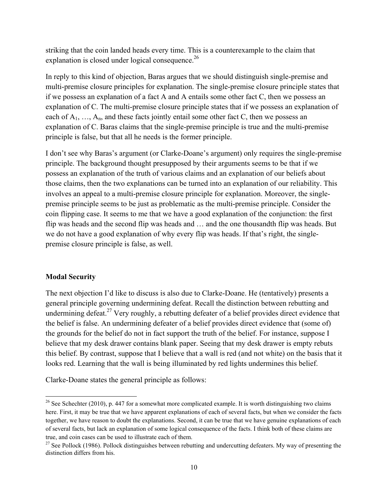striking that the coin landed heads every time. This is a counterexample to the claim that explanation is closed under logical consequence.<sup>26</sup>

In reply to this kind of objection, Baras argues that we should distinguish single-premise and multi-premise closure principles for explanation. The single-premise closure principle states that if we possess an explanation of a fact A and A entails some other fact C, then we possess an explanation of C. The multi-premise closure principle states that if we possess an explanation of each of  $A_1, \ldots, A_n$ , and these facts jointly entail some other fact C, then we possess an explanation of C. Baras claims that the single-premise principle is true and the multi-premise principle is false, but that all he needs is the former principle.

I don't see why Baras's argument (or Clarke-Doane's argument) only requires the single-premise principle. The background thought presupposed by their arguments seems to be that if we possess an explanation of the truth of various claims and an explanation of our beliefs about those claims, then the two explanations can be turned into an explanation of our reliability. This involves an appeal to a multi-premise closure principle for explanation. Moreover, the singlepremise principle seems to be just as problematic as the multi-premise principle. Consider the coin flipping case. It seems to me that we have a good explanation of the conjunction: the first flip was heads and the second flip was heads and … and the one thousandth flip was heads. But we do not have a good explanation of why every flip was heads. If that's right, the singlepremise closure principle is false, as well.

#### **Modal Security**

The next objection I'd like to discuss is also due to Clarke-Doane. He (tentatively) presents a general principle governing undermining defeat. Recall the distinction between rebutting and undermining defeat.<sup>27</sup> Very roughly, a rebutting defeater of a belief provides direct evidence that the belief is false. An undermining defeater of a belief provides direct evidence that (some of) the grounds for the belief do not in fact support the truth of the belief. For instance, suppose I believe that my desk drawer contains blank paper. Seeing that my desk drawer is empty rebuts this belief. By contrast, suppose that I believe that a wall is red (and not white) on the basis that it looks red. Learning that the wall is being illuminated by red lights undermines this belief.

Clarke-Doane states the general principle as follows:

<sup>&</sup>lt;sup>26</sup> See Schechter (2010), p. 447 for a somewhat more complicated example. It is worth distinguishing two claims here. First, it may be true that we have apparent explanations of each of several facts, but when we consider the facts together, we have reason to doubt the explanations. Second, it can be true that we have genuine explanations of each of several facts, but lack an explanation of some logical consequence of the facts. I think both of these claims are true, and coin cases can be used to illustrate each of them.

 $27$  See Pollock (1986). Pollock distinguishes between rebutting and undercutting defeaters. My way of presenting the distinction differs from his.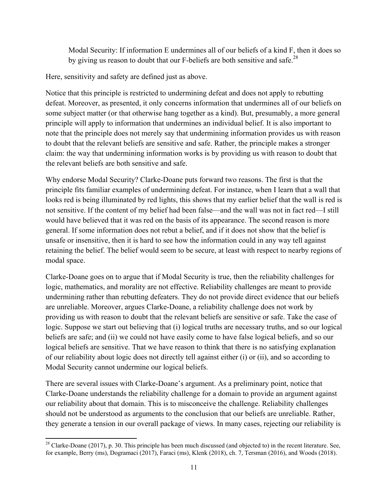Modal Security: If information E undermines all of our beliefs of a kind F, then it does so by giving us reason to doubt that our F-beliefs are both sensitive and safe.<sup>28</sup>

Here, sensitivity and safety are defined just as above.

Notice that this principle is restricted to undermining defeat and does not apply to rebutting defeat. Moreover, as presented, it only concerns information that undermines all of our beliefs on some subject matter (or that otherwise hang together as a kind). But, presumably, a more general principle will apply to information that undermines an individual belief. It is also important to note that the principle does not merely say that undermining information provides us with reason to doubt that the relevant beliefs are sensitive and safe. Rather, the principle makes a stronger claim: the way that undermining information works is by providing us with reason to doubt that the relevant beliefs are both sensitive and safe.

Why endorse Modal Security? Clarke-Doane puts forward two reasons. The first is that the principle fits familiar examples of undermining defeat. For instance, when I learn that a wall that looks red is being illuminated by red lights, this shows that my earlier belief that the wall is red is not sensitive. If the content of my belief had been false—and the wall was not in fact red—I still would have believed that it was red on the basis of its appearance. The second reason is more general. If some information does not rebut a belief, and if it does not show that the belief is unsafe or insensitive, then it is hard to see how the information could in any way tell against retaining the belief. The belief would seem to be secure, at least with respect to nearby regions of modal space.

Clarke-Doane goes on to argue that if Modal Security is true, then the reliability challenges for logic, mathematics, and morality are not effective. Reliability challenges are meant to provide undermining rather than rebutting defeaters. They do not provide direct evidence that our beliefs are unreliable. Moreover, argues Clarke-Doane, a reliability challenge does not work by providing us with reason to doubt that the relevant beliefs are sensitive or safe. Take the case of logic. Suppose we start out believing that (i) logical truths are necessary truths, and so our logical beliefs are safe; and (ii) we could not have easily come to have false logical beliefs, and so our logical beliefs are sensitive. That we have reason to think that there is no satisfying explanation of our reliability about logic does not directly tell against either (i) or (ii), and so according to Modal Security cannot undermine our logical beliefs.

There are several issues with Clarke-Doane's argument. As a preliminary point, notice that Clarke-Doane understands the reliability challenge for a domain to provide an argument against our reliability about that domain. This is to misconceive the challenge. Reliability challenges should not be understood as arguments to the conclusion that our beliefs are unreliable. Rather, they generate a tension in our overall package of views. In many cases, rejecting our reliability is

 $^{28}$  Clarke-Doane (2017), p. 30. This principle has been much discussed (and objected to) in the recent literature. See, for example, Berry (ms), Dogramaci (2017), Faraci (ms), Klenk (2018), ch. 7, Tersman (2016), and Woods (2018).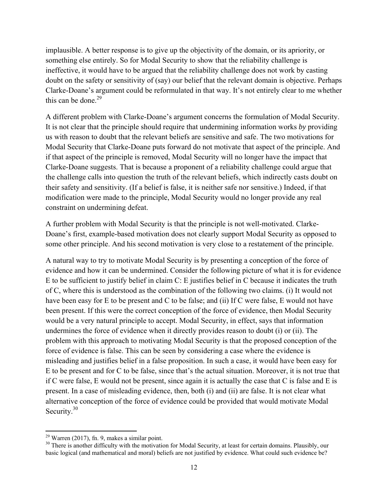implausible. A better response is to give up the objectivity of the domain, or its apriority, or something else entirely. So for Modal Security to show that the reliability challenge is ineffective, it would have to be argued that the reliability challenge does not work by casting doubt on the safety or sensitivity of (say) our belief that the relevant domain is objective. Perhaps Clarke-Doane's argument could be reformulated in that way. It's not entirely clear to me whether this can be done. $29$ 

A different problem with Clarke-Doane's argument concerns the formulation of Modal Security. It is not clear that the principle should require that undermining information works *by* providing us with reason to doubt that the relevant beliefs are sensitive and safe. The two motivations for Modal Security that Clarke-Doane puts forward do not motivate that aspect of the principle. And if that aspect of the principle is removed, Modal Security will no longer have the impact that Clarke-Doane suggests. That is because a proponent of a reliability challenge could argue that the challenge calls into question the truth of the relevant beliefs, which indirectly casts doubt on their safety and sensitivity. (If a belief is false, it is neither safe nor sensitive.) Indeed, if that modification were made to the principle, Modal Security would no longer provide any real constraint on undermining defeat.

A further problem with Modal Security is that the principle is not well-motivated. Clarke-Doane's first, example-based motivation does not clearly support Modal Security as opposed to some other principle. And his second motivation is very close to a restatement of the principle.

A natural way to try to motivate Modal Security is by presenting a conception of the force of evidence and how it can be undermined. Consider the following picture of what it is for evidence E to be sufficient to justify belief in claim C: E justifies belief in C because it indicates the truth of C, where this is understood as the combination of the following two claims. (i) It would not have been easy for E to be present and C to be false; and (ii) If C were false, E would not have been present. If this were the correct conception of the force of evidence, then Modal Security would be a very natural principle to accept. Modal Security, in effect, says that information undermines the force of evidence when it directly provides reason to doubt (i) or (ii). The problem with this approach to motivating Modal Security is that the proposed conception of the force of evidence is false. This can be seen by considering a case where the evidence is misleading and justifies belief in a false proposition. In such a case, it would have been easy for E to be present and for C to be false, since that's the actual situation. Moreover, it is not true that if C were false, E would not be present, since again it is actually the case that C is false and E is present. In a case of misleading evidence, then, both (i) and (ii) are false. It is not clear what alternative conception of the force of evidence could be provided that would motivate Modal Security.<sup>30</sup>

 $29$  Warren (2017), fn. 9, makes a similar point.

<sup>&</sup>lt;sup>30</sup> There is another difficulty with the motivation for Modal Security, at least for certain domains. Plausibly, our basic logical (and mathematical and moral) beliefs are not justified by evidence. What could such evidence be?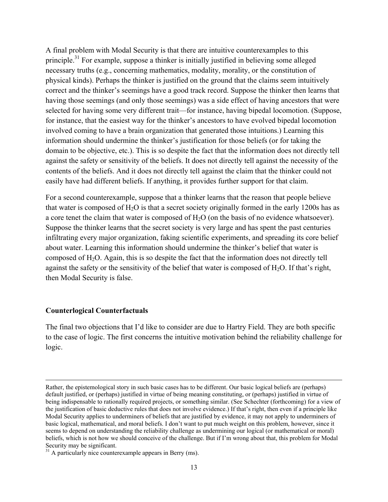A final problem with Modal Security is that there are intuitive counterexamples to this principle.<sup>31</sup> For example, suppose a thinker is initially justified in believing some alleged necessary truths (e.g., concerning mathematics, modality, morality, or the constitution of physical kinds). Perhaps the thinker is justified on the ground that the claims seem intuitively correct and the thinker's seemings have a good track record. Suppose the thinker then learns that having those seemings (and only those seemings) was a side effect of having ancestors that were selected for having some very different trait—for instance, having bipedal locomotion. (Suppose, for instance, that the easiest way for the thinker's ancestors to have evolved bipedal locomotion involved coming to have a brain organization that generated those intuitions.) Learning this information should undermine the thinker's justification for those beliefs (or for taking the domain to be objective, etc.). This is so despite the fact that the information does not directly tell against the safety or sensitivity of the beliefs. It does not directly tell against the necessity of the contents of the beliefs. And it does not directly tell against the claim that the thinker could not easily have had different beliefs. If anything, it provides further support for that claim.

For a second counterexample, suppose that a thinker learns that the reason that people believe that water is composed of  $H_2O$  is that a secret society originally formed in the early 1200s has as a core tenet the claim that water is composed of  $H_2O$  (on the basis of no evidence whatsoever). Suppose the thinker learns that the secret society is very large and has spent the past centuries infiltrating every major organization, faking scientific experiments, and spreading its core belief about water. Learning this information should undermine the thinker's belief that water is composed of  $H_2O$ . Again, this is so despite the fact that the information does not directly tell against the safety or the sensitivity of the belief that water is composed of  $H_2O$ . If that's right, then Modal Security is false.

### **Counterlogical Counterfactuals**

The final two objections that I'd like to consider are due to Hartry Field. They are both specific to the case of logic. The first concerns the intuitive motivation behind the reliability challenge for logic.

<u> 1989 - Johann Stein, marwolaethau a gweledydd a ganlad y ganlad y ganlad y ganlad y ganlad y ganlad y ganlad</u>

Rather, the epistemological story in such basic cases has to be different. Our basic logical beliefs are (perhaps) default justified, or (perhaps) justified in virtue of being meaning constituting, or (perhaps) justified in virtue of being indispensable to rationally required projects, or something similar. (See Schechter (forthcoming) for a view of the justification of basic deductive rules that does not involve evidence.) If that's right, then even if a principle like Modal Security applies to underminers of beliefs that are justified by evidence, it may not apply to underminers of basic logical, mathematical, and moral beliefs. I don't want to put much weight on this problem, however, since it seems to depend on understanding the reliability challenge as undermining our logical (or mathematical or moral) beliefs, which is not how we should conceive of the challenge. But if I'm wrong about that, this problem for Modal Security may be significant.

 $31$  A particularly nice counterexample appears in Berry (ms).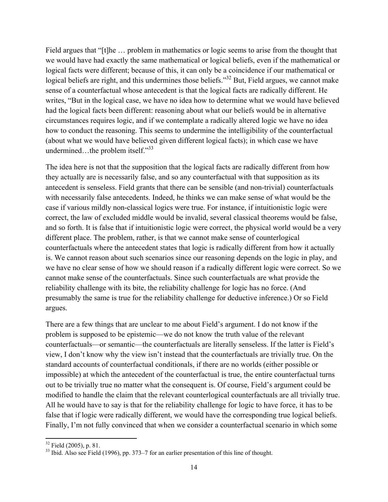Field argues that "[t]he … problem in mathematics or logic seems to arise from the thought that we would have had exactly the same mathematical or logical beliefs, even if the mathematical or logical facts were different; because of this, it can only be a coincidence if our mathematical or logical beliefs are right, and this undermines those beliefs."<sup>32</sup> But, Field argues, we cannot make sense of a counterfactual whose antecedent is that the logical facts are radically different. He writes, "But in the logical case, we have no idea how to determine what we would have believed had the logical facts been different: reasoning about what our beliefs would be in alternative circumstances requires logic, and if we contemplate a radically altered logic we have no idea how to conduct the reasoning. This seems to undermine the intelligibility of the counterfactual (about what we would have believed given different logical facts); in which case we have undermined...the problem itself. $1^{33}$ 

The idea here is not that the supposition that the logical facts are radically different from how they actually are is necessarily false, and so any counterfactual with that supposition as its antecedent is senseless. Field grants that there can be sensible (and non-trivial) counterfactuals with necessarily false antecedents. Indeed, he thinks we can make sense of what would be the case if various mildly non-classical logics were true. For instance, if intuitionistic logic were correct, the law of excluded middle would be invalid, several classical theorems would be false, and so forth. It is false that if intuitionistic logic were correct, the physical world would be a very different place. The problem, rather, is that we cannot make sense of counterlogical counterfactuals where the antecedent states that logic is radically different from how it actually is. We cannot reason about such scenarios since our reasoning depends on the logic in play, and we have no clear sense of how we should reason if a radically different logic were correct. So we cannot make sense of the counterfactuals. Since such counterfactuals are what provide the reliability challenge with its bite, the reliability challenge for logic has no force. (And presumably the same is true for the reliability challenge for deductive inference.) Or so Field argues.

There are a few things that are unclear to me about Field's argument. I do not know if the problem is supposed to be epistemic—we do not know the truth value of the relevant counterfactuals—or semantic—the counterfactuals are literally senseless. If the latter is Field's view, I don't know why the view isn't instead that the counterfactuals are trivially true. On the standard accounts of counterfactual conditionals, if there are no worlds (either possible or impossible) at which the antecedent of the counterfactual is true, the entire counterfactual turns out to be trivially true no matter what the consequent is. Of course, Field's argument could be modified to handle the claim that the relevant counterlogical counterfactuals are all trivially true. All he would have to say is that for the reliability challenge for logic to have force, it has to be false that if logic were radically different, we would have the corresponding true logical beliefs. Finally, I'm not fully convinced that when we consider a counterfactual scenario in which some

 $32$  Field (2005), p. 81.

<sup>&</sup>lt;sup>33</sup> Ibid. Also see Field (1996), pp. 373–7 for an earlier presentation of this line of thought.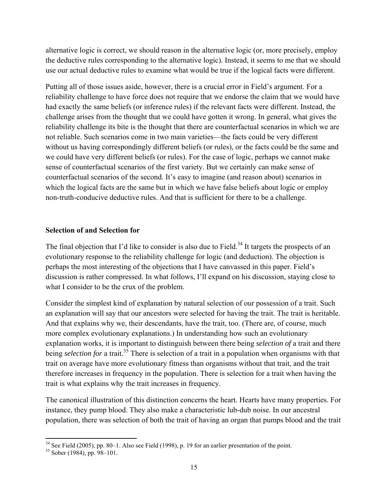alternative logic is correct, we should reason in the alternative logic (or, more precisely, employ the deductive rules corresponding to the alternative logic). Instead, it seems to me that we should use our actual deductive rules to examine what would be true if the logical facts were different.

Putting all of those issues aside, however, there is a crucial error in Field's argument. For a reliability challenge to have force does not require that we endorse the claim that we would have had exactly the same beliefs (or inference rules) if the relevant facts were different. Instead, the challenge arises from the thought that we could have gotten it wrong. In general, what gives the reliability challenge its bite is the thought that there are counterfactual scenarios in which we are not reliable. Such scenarios come in two main varieties—the facts could be very different without us having correspondingly different beliefs (or rules), or the facts could be the same and we could have very different beliefs (or rules). For the case of logic, perhaps we cannot make sense of counterfactual scenarios of the first variety. But we certainly can make sense of counterfactual scenarios of the second. It's easy to imagine (and reason about) scenarios in which the logical facts are the same but in which we have false beliefs about logic or employ non-truth-conducive deductive rules. And that is sufficient for there to be a challenge.

# **Selection of and Selection for**

The final objection that I'd like to consider is also due to Field.<sup>34</sup> It targets the prospects of an evolutionary response to the reliability challenge for logic (and deduction). The objection is perhaps the most interesting of the objections that I have canvassed in this paper. Field's discussion is rather compressed. In what follows, I'll expand on his discussion, staying close to what I consider to be the crux of the problem.

Consider the simplest kind of explanation by natural selection of our possession of a trait. Such an explanation will say that our ancestors were selected for having the trait. The trait is heritable. And that explains why we, their descendants, have the trait, too. (There are, of course, much more complex evolutionary explanations.) In understanding how such an evolutionary explanation works, it is important to distinguish between there being *selection of* a trait and there being *selection for* a trait.<sup>35</sup> There is selection of a trait in a population when organisms with that trait on average have more evolutionary fitness than organisms without that trait, and the trait therefore increases in frequency in the population. There is selection for a trait when having the trait is what explains why the trait increases in frequency.

The canonical illustration of this distinction concerns the heart. Hearts have many properties. For instance, they pump blood. They also make a characteristic lub-dub noise. In our ancestral population, there was selection of both the trait of having an organ that pumps blood and the trait

 $34$  See Field (2005), pp. 80–1. Also see Field (1998), p. 19 for an earlier presentation of the point.

 $35$  Sober (1984), pp. 98–101.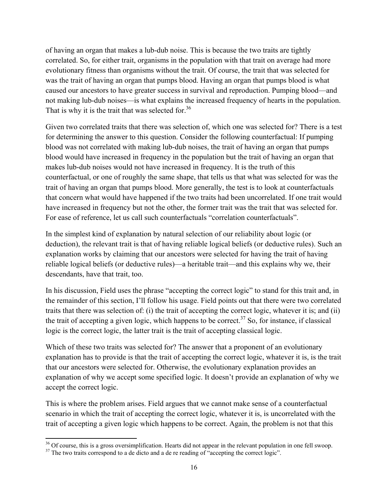of having an organ that makes a lub-dub noise. This is because the two traits are tightly correlated. So, for either trait, organisms in the population with that trait on average had more evolutionary fitness than organisms without the trait. Of course, the trait that was selected for was the trait of having an organ that pumps blood. Having an organ that pumps blood is what caused our ancestors to have greater success in survival and reproduction. Pumping blood—and not making lub-dub noises—is what explains the increased frequency of hearts in the population. That is why it is the trait that was selected for. $36$ 

Given two correlated traits that there was selection of, which one was selected for? There is a test for determining the answer to this question. Consider the following counterfactual: If pumping blood was not correlated with making lub-dub noises, the trait of having an organ that pumps blood would have increased in frequency in the population but the trait of having an organ that makes lub-dub noises would not have increased in frequency. It is the truth of this counterfactual, or one of roughly the same shape, that tells us that what was selected for was the trait of having an organ that pumps blood. More generally, the test is to look at counterfactuals that concern what would have happened if the two traits had been uncorrelated. If one trait would have increased in frequency but not the other, the former trait was the trait that was selected for. For ease of reference, let us call such counterfactuals "correlation counterfactuals".

In the simplest kind of explanation by natural selection of our reliability about logic (or deduction), the relevant trait is that of having reliable logical beliefs (or deductive rules). Such an explanation works by claiming that our ancestors were selected for having the trait of having reliable logical beliefs (or deductive rules)—a heritable trait—and this explains why we, their descendants, have that trait, too.

In his discussion, Field uses the phrase "accepting the correct logic" to stand for this trait and, in the remainder of this section, I'll follow his usage. Field points out that there were two correlated traits that there was selection of: (i) the trait of accepting the correct logic, whatever it is; and (ii) the trait of accepting a given logic, which happens to be correct.<sup>37</sup> So, for instance, if classical logic is the correct logic, the latter trait is the trait of accepting classical logic.

Which of these two traits was selected for? The answer that a proponent of an evolutionary explanation has to provide is that the trait of accepting the correct logic, whatever it is, is the trait that our ancestors were selected for. Otherwise, the evolutionary explanation provides an explanation of why we accept some specified logic. It doesn't provide an explanation of why we accept the correct logic.

This is where the problem arises. Field argues that we cannot make sense of a counterfactual scenario in which the trait of accepting the correct logic, whatever it is, is uncorrelated with the trait of accepting a given logic which happens to be correct. Again, the problem is not that this

 $36$  Of course, this is a gross oversimplification. Hearts did not appear in the relevant population in one fell swoop.

<sup>&</sup>lt;sup>37</sup> The two traits correspond to a de dicto and a de re reading of "accepting the correct logic".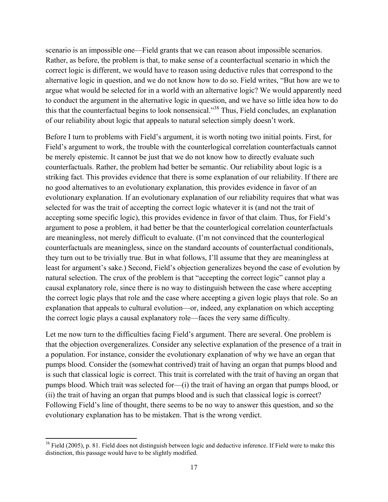scenario is an impossible one—Field grants that we can reason about impossible scenarios. Rather, as before, the problem is that, to make sense of a counterfactual scenario in which the correct logic is different, we would have to reason using deductive rules that correspond to the alternative logic in question, and we do not know how to do so. Field writes, "But how are we to argue what would be selected for in a world with an alternative logic? We would apparently need to conduct the argument in the alternative logic in question, and we have so little idea how to do this that the counterfactual begins to look nonsensical."38 Thus, Field concludes, an explanation of our reliability about logic that appeals to natural selection simply doesn't work.

Before I turn to problems with Field's argument, it is worth noting two initial points. First, for Field's argument to work, the trouble with the counterlogical correlation counterfactuals cannot be merely epistemic. It cannot be just that we do not know how to directly evaluate such counterfactuals. Rather, the problem had better be semantic. Our reliability about logic is a striking fact. This provides evidence that there is some explanation of our reliability. If there are no good alternatives to an evolutionary explanation, this provides evidence in favor of an evolutionary explanation. If an evolutionary explanation of our reliability requires that what was selected for was the trait of accepting the correct logic whatever it is (and not the trait of accepting some specific logic), this provides evidence in favor of that claim. Thus, for Field's argument to pose a problem, it had better be that the counterlogical correlation counterfactuals are meaningless, not merely difficult to evaluate. (I'm not convinced that the counterlogical counterfactuals are meaningless, since on the standard accounts of counterfactual conditionals, they turn out to be trivially true. But in what follows, I'll assume that they are meaningless at least for argument's sake.) Second, Field's objection generalizes beyond the case of evolution by natural selection. The crux of the problem is that "accepting the correct logic" cannot play a causal explanatory role, since there is no way to distinguish between the case where accepting the correct logic plays that role and the case where accepting a given logic plays that role. So an explanation that appeals to cultural evolution—or, indeed, any explanation on which accepting the correct logic plays a causal explanatory role—faces the very same difficulty.

Let me now turn to the difficulties facing Field's argument. There are several. One problem is that the objection overgeneralizes. Consider any selective explanation of the presence of a trait in a population. For instance, consider the evolutionary explanation of why we have an organ that pumps blood. Consider the (somewhat contrived) trait of having an organ that pumps blood and is such that classical logic is correct. This trait is correlated with the trait of having an organ that pumps blood. Which trait was selected for—(i) the trait of having an organ that pumps blood, or (ii) the trait of having an organ that pumps blood and is such that classical logic is correct? Following Field's line of thought, there seems to be no way to answer this question, and so the evolutionary explanation has to be mistaken. That is the wrong verdict.

<sup>&</sup>lt;sup>38</sup> Field (2005), p. 81. Field does not distinguish between logic and deductive inference. If Field were to make this distinction, this passage would have to be slightly modified.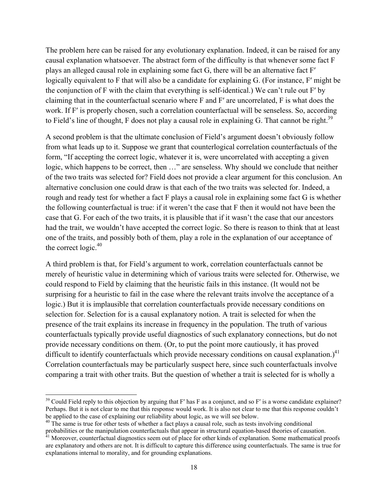The problem here can be raised for any evolutionary explanation. Indeed, it can be raised for any causal explanation whatsoever. The abstract form of the difficulty is that whenever some fact F plays an alleged causal role in explaining some fact G, there will be an alternative fact F′ logically equivalent to F that will also be a candidate for explaining G. (For instance, F′ might be the conjunction of F with the claim that everything is self-identical.) We can't rule out F′ by claiming that in the counterfactual scenario where F and F′ are uncorrelated, F is what does the work. If F' is properly chosen, such a correlation counterfactual will be senseless. So, according to Field's line of thought, F does not play a causal role in explaining G. That cannot be right.<sup>39</sup>

A second problem is that the ultimate conclusion of Field's argument doesn't obviously follow from what leads up to it. Suppose we grant that counterlogical correlation counterfactuals of the form, "If accepting the correct logic, whatever it is, were uncorrelated with accepting a given logic, which happens to be correct, then …" are senseless. Why should we conclude that neither of the two traits was selected for? Field does not provide a clear argument for this conclusion. An alternative conclusion one could draw is that each of the two traits was selected for. Indeed, a rough and ready test for whether a fact F plays a causal role in explaining some fact G is whether the following counterfactual is true: if it weren't the case that F then it would not have been the case that G. For each of the two traits, it is plausible that if it wasn't the case that our ancestors had the trait, we wouldn't have accepted the correct logic. So there is reason to think that at least one of the traits, and possibly both of them, play a role in the explanation of our acceptance of the correct logic. $40$ 

A third problem is that, for Field's argument to work, correlation counterfactuals cannot be merely of heuristic value in determining which of various traits were selected for. Otherwise, we could respond to Field by claiming that the heuristic fails in this instance. (It would not be surprising for a heuristic to fail in the case where the relevant traits involve the acceptance of a logic.) But it is implausible that correlation counterfactuals provide necessary conditions on selection for. Selection for is a causal explanatory notion. A trait is selected for when the presence of the trait explains its increase in frequency in the population. The truth of various counterfactuals typically provide useful diagnostics of such explanatory connections, but do not provide necessary conditions on them. (Or, to put the point more cautiously, it has proved difficult to identify counterfactuals which provide necessary conditions on causal explanation.)<sup>41</sup> Correlation counterfactuals may be particularly suspect here, since such counterfactuals involve comparing a trait with other traits. But the question of whether a trait is selected for is wholly a

 $39$  Could Field reply to this objection by arguing that F' has F as a conjunct, and so F' is a worse candidate explainer? Perhaps. But it is not clear to me that this response would work. It is also not clear to me that this response couldn't be applied to the case of explaining our reliability about logic, as we will see below.

<sup>&</sup>lt;sup>40</sup> The same is true for other tests of whether a fact plays a causal role, such as tests involving conditional

probabilities or the manipulation counterfactuals that appear in structural equation-based theories of causation.<br><sup>41</sup> Moreover, counterfactual diagnostics seem out of place for other kinds of explanation. Some mathematica are explanatory and others are not. It is difficult to capture this difference using counterfactuals. The same is true for explanations internal to morality, and for grounding explanations.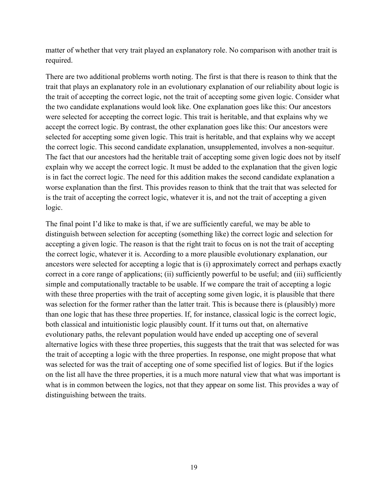matter of whether that very trait played an explanatory role. No comparison with another trait is required.

There are two additional problems worth noting. The first is that there is reason to think that the trait that plays an explanatory role in an evolutionary explanation of our reliability about logic is the trait of accepting the correct logic, not the trait of accepting some given logic. Consider what the two candidate explanations would look like. One explanation goes like this: Our ancestors were selected for accepting the correct logic. This trait is heritable, and that explains why we accept the correct logic. By contrast, the other explanation goes like this: Our ancestors were selected for accepting some given logic. This trait is heritable, and that explains why we accept the correct logic. This second candidate explanation, unsupplemented, involves a non-sequitur. The fact that our ancestors had the heritable trait of accepting some given logic does not by itself explain why we accept the correct logic. It must be added to the explanation that the given logic is in fact the correct logic. The need for this addition makes the second candidate explanation a worse explanation than the first. This provides reason to think that the trait that was selected for is the trait of accepting the correct logic, whatever it is, and not the trait of accepting a given logic.

The final point I'd like to make is that, if we are sufficiently careful, we may be able to distinguish between selection for accepting (something like) the correct logic and selection for accepting a given logic. The reason is that the right trait to focus on is not the trait of accepting the correct logic, whatever it is. According to a more plausible evolutionary explanation, our ancestors were selected for accepting a logic that is (i) approximately correct and perhaps exactly correct in a core range of applications; (ii) sufficiently powerful to be useful; and (iii) sufficiently simple and computationally tractable to be usable. If we compare the trait of accepting a logic with these three properties with the trait of accepting some given logic, it is plausible that there was selection for the former rather than the latter trait. This is because there is (plausibly) more than one logic that has these three properties. If, for instance, classical logic is the correct logic, both classical and intuitionistic logic plausibly count. If it turns out that, on alternative evolutionary paths, the relevant population would have ended up accepting one of several alternative logics with these three properties, this suggests that the trait that was selected for was the trait of accepting a logic with the three properties. In response, one might propose that what was selected for was the trait of accepting one of some specified list of logics. But if the logics on the list all have the three properties, it is a much more natural view that what was important is what is in common between the logics, not that they appear on some list. This provides a way of distinguishing between the traits.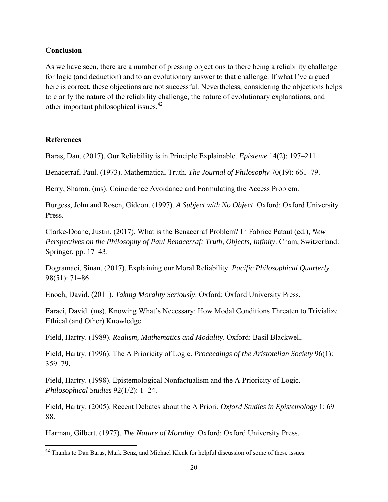### **Conclusion**

As we have seen, there are a number of pressing objections to there being a reliability challenge for logic (and deduction) and to an evolutionary answer to that challenge. If what I've argued here is correct, these objections are not successful. Nevertheless, considering the objections helps to clarify the nature of the reliability challenge, the nature of evolutionary explanations, and other important philosophical issues.<sup>42</sup>

### **References**

Baras, Dan. (2017). Our Reliability is in Principle Explainable. *Episteme* 14(2): 197–211.

Benacerraf, Paul. (1973). Mathematical Truth. *The Journal of Philosophy* 70(19): 661–79.

Berry, Sharon. (ms). Coincidence Avoidance and Formulating the Access Problem.

Burgess, John and Rosen, Gideon. (1997). *A Subject with No Object*. Oxford: Oxford University Press.

Clarke-Doane, Justin. (2017). What is the Benacerraf Problem? In Fabrice Pataut (ed.), *New Perspectives on the Philosophy of Paul Benacerraf: Truth, Objects, Infinity*. Cham, Switzerland: Springer, pp. 17–43.

Dogramaci, Sinan. (2017). Explaining our Moral Reliability. *Pacific Philosophical Quarterly* 98(51): 71–86.

Enoch, David. (2011). *Taking Morality Seriously*. Oxford: Oxford University Press.

Faraci, David. (ms). Knowing What's Necessary: How Modal Conditions Threaten to Trivialize Ethical (and Other) Knowledge.

Field, Hartry. (1989). *Realism, Mathematics and Modality*. Oxford: Basil Blackwell.

Field, Hartry. (1996). The A Prioricity of Logic. *Proceedings of the Aristotelian Society* 96(1): 359–79.

Field, Hartry. (1998). Epistemological Nonfactualism and the A Prioricity of Logic. *Philosophical Studies* 92(1/2): 1–24.

Field, Hartry. (2005). Recent Debates about the A Priori. *Oxford Studies in Epistemology* 1: 69– 88.

Harman, Gilbert. (1977). *The Nature of Morality*. Oxford: Oxford University Press.

 $42$  Thanks to Dan Baras, Mark Benz, and Michael Klenk for helpful discussion of some of these issues.